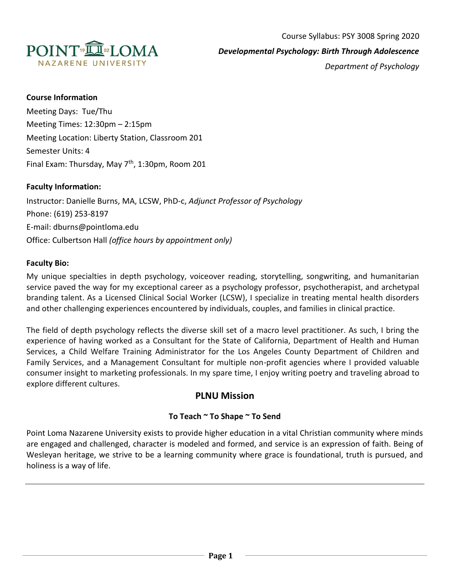

## **Course Information**

Meeting Days: Tue/Thu Meeting Times: 12:30pm – 2:15pm Meeting Location: Liberty Station, Classroom 201 Semester Units: 4 Final Exam: Thursday, May  $7<sup>th</sup>$ , 1:30pm, Room 201

## **Faculty Information:**

Instructor: Danielle Burns, MA, LCSW, PhD-c, *Adjunct Professor of Psychology* Phone: (619) 253-8197 E-mail: dburns@pointloma.edu Office: Culbertson Hall *(office hours by appointment only)*

## **Faculty Bio:**

My unique specialties in depth psychology, voiceover reading, storytelling, songwriting, and humanitarian service paved the way for my exceptional career as a psychology professor, psychotherapist, and archetypal branding talent. As a Licensed Clinical Social Worker (LCSW), I specialize in treating mental health disorders and other challenging experiences encountered by individuals, couples, and families in clinical practice.

The field of depth psychology reflects the diverse skill set of a macro level practitioner. As such, I bring the experience of having worked as a Consultant for the State of California, Department of Health and Human Services, a Child Welfare Training Administrator for the Los Angeles County Department of Children and Family Services, and a Management Consultant for multiple non-profit agencies where I provided valuable consumer insight to marketing professionals. In my spare time, I enjoy writing poetry and traveling abroad to explore different cultures.

# **PLNU Mission**

## **To Teach ~ To Shape ~ To Send**

Point Loma Nazarene University exists to provide higher education in a vital Christian community where minds are engaged and challenged, character is modeled and formed, and service is an expression of faith. Being of Wesleyan heritage, we strive to be a learning community where grace is foundational, truth is pursued, and holiness is a way of life.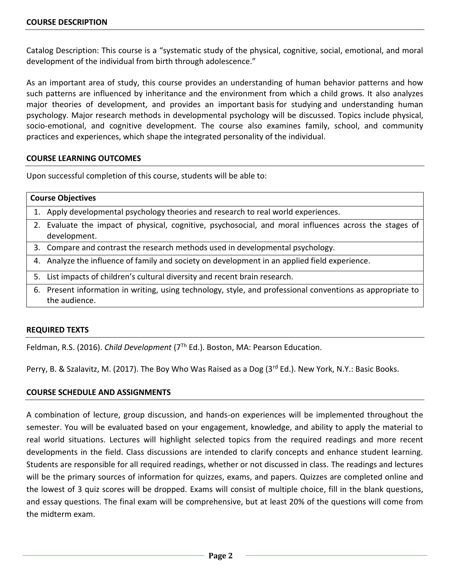Catalog Description: This course is a "systematic study of the physical, cognitive, social, emotional, and moral development of the individual from birth through adolescence."

As an important area of study, this course provides an understanding of human behavior patterns and how such patterns are influenced by inheritance and the environment from which a child grows. It also analyzes major theories of development, and provides an important basis for studying and understanding human psychology. Major research methods in developmental psychology will be discussed. Topics include physical, socio-emotional, and cognitive development. The course also examines family, school, and community practices and experiences, which shape the integrated personality of the individual.

## **COURSE LEARNING OUTCOMES**

Upon successful completion of this course, students will be able to:

## **Course Objectives**

- 1. Apply developmental psychology theories and research to real world experiences.
- 2. Evaluate the impact of physical, cognitive, psychosocial, and moral influences across the stages of development.
- 3. Compare and contrast the research methods used in developmental psychology.
- 4. Analyze the influence of family and society on development in an applied field experience.
- 5. List impacts of children's cultural diversity and recent brain research.
- 6. Present information in writing, using technology, style, and professional conventions as appropriate to the audience.

## **REQUIRED TEXTS**

Feldman, R.S. (2016). *Child Development* (7Th Ed.). Boston, MA: Pearson Education.

Perry, B. & Szalavitz, M. (2017). The Boy Who Was Raised as a Dog (3rd Ed.). New York, N.Y.: Basic Books.

## **COURSE SCHEDULE AND ASSIGNMENTS**

A combination of lecture, group discussion, and hands-on experiences will be implemented throughout the semester. You will be evaluated based on your engagement, knowledge, and ability to apply the material to real world situations. Lectures will highlight selected topics from the required readings and more recent developments in the field. Class discussions are intended to clarify concepts and enhance student learning. Students are responsible for all required readings, whether or not discussed in class. The readings and lectures will be the primary sources of information for quizzes, exams, and papers. Quizzes are completed online and the lowest of 3 quiz scores will be dropped. Exams will consist of multiple choice, fill in the blank questions, and essay questions. The final exam will be comprehensive, but at least 20% of the questions will come from the midterm exam.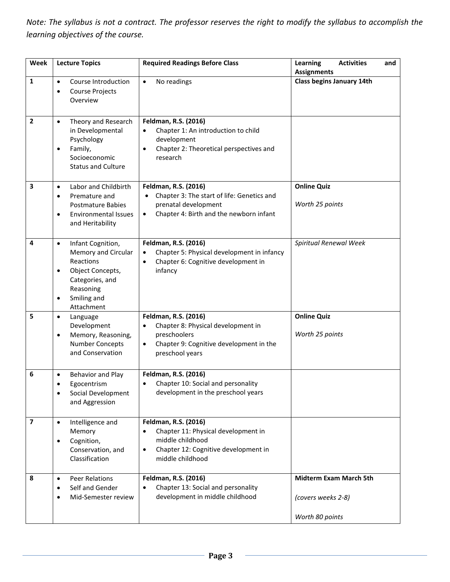*Note: The syllabus is not a contract. The professor reserves the right to modify the syllabus to accomplish the learning objectives of the course.* 

| Week                    | <b>Lecture Topics</b>                                                                                                                                                 | <b>Required Readings Before Class</b>                                                                                                                    | <b>Activities</b><br>Learning<br>and<br><b>Assignments</b>             |
|-------------------------|-----------------------------------------------------------------------------------------------------------------------------------------------------------------------|----------------------------------------------------------------------------------------------------------------------------------------------------------|------------------------------------------------------------------------|
| 1                       | Course Introduction<br>$\bullet$<br>Course Projects<br>$\bullet$<br>Overview                                                                                          | No readings<br>$\bullet$                                                                                                                                 | <b>Class begins January 14th</b>                                       |
| $\overline{2}$          | Theory and Research<br>$\bullet$<br>in Developmental<br>Psychology<br>Family,<br>٠<br>Socioeconomic<br><b>Status and Culture</b>                                      | Feldman, R.S. (2016)<br>Chapter 1: An introduction to child<br>development<br>Chapter 2: Theoretical perspectives and<br>$\bullet$<br>research           |                                                                        |
| 3                       | Labor and Childbirth<br>$\bullet$<br>Premature and<br>$\bullet$<br><b>Postmature Babies</b><br><b>Environmental Issues</b><br>$\bullet$<br>and Heritability           | Feldman, R.S. (2016)<br>Chapter 3: The start of life: Genetics and<br>prenatal development<br>Chapter 4: Birth and the newborn infant<br>$\bullet$       | <b>Online Quiz</b><br>Worth 25 points                                  |
| 4                       | Infant Cognition,<br>$\bullet$<br>Memory and Circular<br>Reactions<br>Object Concepts,<br>$\bullet$<br>Categories, and<br>Reasoning<br>Smiling and<br>٠<br>Attachment | Feldman, R.S. (2016)<br>Chapter 5: Physical development in infancy<br>$\bullet$<br>Chapter 6: Cognitive development in<br>$\bullet$<br>infancy           | Spiritual Renewal Week                                                 |
| 5                       | Language<br>$\bullet$<br>Development<br>Memory, Reasoning,<br>$\bullet$<br><b>Number Concepts</b><br>and Conservation                                                 | Feldman, R.S. (2016)<br>Chapter 8: Physical development in<br>preschoolers<br>Chapter 9: Cognitive development in the<br>$\bullet$<br>preschool years    | <b>Online Quiz</b><br>Worth 25 points                                  |
| 6                       | Behavior and Play<br>$\bullet$<br>Egocentrism<br>Social Development<br>$\bullet$<br>and Aggression                                                                    | Feldman, R.S. (2016)<br>Chapter 10: Social and personality<br>$\bullet$<br>development in the preschool years                                            |                                                                        |
| $\overline{\mathbf{z}}$ | Intelligence and<br>$\bullet$<br>Memory<br>Cognition,<br>$\bullet$<br>Conservation, and<br>Classification                                                             | Feldman, R.S. (2016)<br>Chapter 11: Physical development in<br>middle childhood<br>Chapter 12: Cognitive development in<br>$\bullet$<br>middle childhood |                                                                        |
| 8                       | <b>Peer Relations</b><br>$\bullet$<br>Self and Gender<br>Mid-Semester review<br>$\bullet$                                                                             | Feldman, R.S. (2016)<br>Chapter 13: Social and personality<br>development in middle childhood                                                            | <b>Midterm Exam March 5th</b><br>(covers weeks 2-8)<br>Worth 80 points |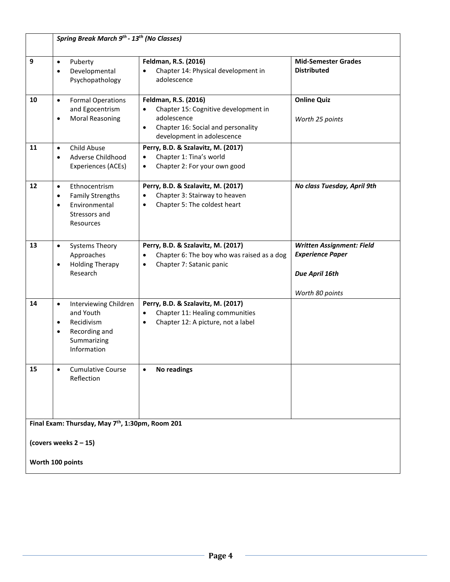|                                                              | Spring Break March 9 <sup>th</sup> - 13 <sup>th</sup> (No Classes)                                                                     |                                                                                                                                                                           |                                                                                                  |  |
|--------------------------------------------------------------|----------------------------------------------------------------------------------------------------------------------------------------|---------------------------------------------------------------------------------------------------------------------------------------------------------------------------|--------------------------------------------------------------------------------------------------|--|
| 9                                                            | Puberty<br>$\bullet$<br>Developmental<br>$\bullet$<br>Psychopathology                                                                  | Feldman, R.S. (2016)<br>Chapter 14: Physical development in<br>adolescence                                                                                                | <b>Mid-Semester Grades</b><br><b>Distributed</b>                                                 |  |
| 10                                                           | <b>Formal Operations</b><br>$\bullet$<br>and Egocentrism<br><b>Moral Reasoning</b><br>$\bullet$                                        | Feldman, R.S. (2016)<br>Chapter 15: Cognitive development in<br>$\bullet$<br>adolescence<br>Chapter 16: Social and personality<br>$\bullet$<br>development in adolescence | <b>Online Quiz</b><br>Worth 25 points                                                            |  |
| 11                                                           | Child Abuse<br>$\bullet$<br>Adverse Childhood<br>$\bullet$<br>Experiences (ACEs)                                                       | Perry, B.D. & Szalavitz, M. (2017)<br>Chapter 1: Tina's world<br>$\bullet$<br>Chapter 2: For your own good<br>$\bullet$                                                   |                                                                                                  |  |
| 12                                                           | Ethnocentrism<br>$\bullet$<br><b>Family Strengths</b><br>$\bullet$<br>Environmental<br>$\bullet$<br>Stressors and<br>Resources         | Perry, B.D. & Szalavitz, M. (2017)<br>Chapter 3: Stairway to heaven<br>Chapter 5: The coldest heart<br>$\bullet$                                                          | No class Tuesday, April 9th                                                                      |  |
| 13                                                           | <b>Systems Theory</b><br>$\bullet$<br>Approaches<br><b>Holding Therapy</b><br>$\bullet$<br>Research                                    | Perry, B.D. & Szalavitz, M. (2017)<br>Chapter 6: The boy who was raised as a dog<br>$\bullet$<br>Chapter 7: Satanic panic<br>$\bullet$                                    | <b>Written Assignment: Field</b><br><b>Experience Paper</b><br>Due April 16th<br>Worth 80 points |  |
| 14                                                           | Interviewing Children<br>$\bullet$<br>and Youth<br>Recidivism<br>$\bullet$<br>Recording and<br>$\bullet$<br>Summarizing<br>Information | Perry, B.D. & Szalavitz, M. (2017)<br>Chapter 11: Healing communities<br>$\bullet$<br>Chapter 12: A picture, not a label<br>$\bullet$                                     |                                                                                                  |  |
| 15                                                           | <b>Cumulative Course</b><br>$\bullet$<br>Reflection                                                                                    | <b>No readings</b>                                                                                                                                                        |                                                                                                  |  |
| Final Exam: Thursday, May 7 <sup>th</sup> , 1:30pm, Room 201 |                                                                                                                                        |                                                                                                                                                                           |                                                                                                  |  |
| (covers weeks $2 - 15$ )                                     |                                                                                                                                        |                                                                                                                                                                           |                                                                                                  |  |
| Worth 100 points                                             |                                                                                                                                        |                                                                                                                                                                           |                                                                                                  |  |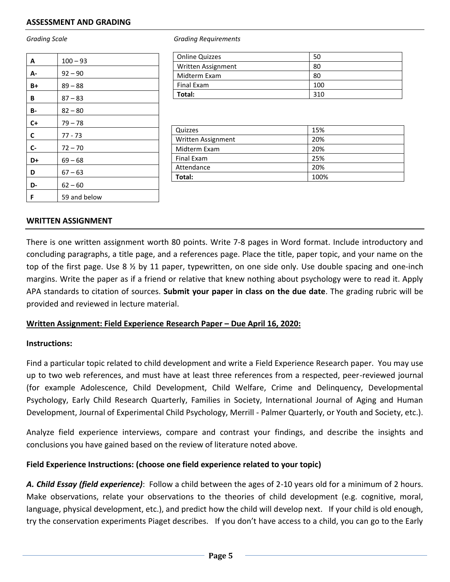| A     | $100 - 93$   |
|-------|--------------|
| А-    | $92 - 90$    |
| B+    | $89 - 88$    |
| В     | $87 - 83$    |
| В-    | $82 - 80$    |
| $C+$  | $79 - 78$    |
| C     | $77 - 73$    |
| $C -$ | $72 - 70$    |
| D+    | $69 - 68$    |
| D     | $67 - 63$    |
| D-    | $62 - 60$    |
| F     | 59 and below |

*Grading Scale Grading Requirements*

| <b>Online Quizzes</b> | 50  |
|-----------------------|-----|
| Written Assignment    | 80  |
| Midterm Exam          | 80  |
| Final Exam            | 100 |
| Total:                | 310 |

| Quizzes            | 15%  |
|--------------------|------|
| Written Assignment | 20%  |
| Midterm Exam       | 20%  |
| Final Exam         | 25%  |
| Attendance         | 20%  |
| Total:             | 100% |

#### **WRITTEN ASSIGNMENT**

There is one written assignment worth 80 points. Write 7-8 pages in Word format. Include introductory and concluding paragraphs, a title page, and a references page. Place the title, paper topic, and your name on the top of the first page. Use 8  $\frac{1}{2}$  by 11 paper, typewritten, on one side only. Use double spacing and one-inch margins. Write the paper as if a friend or relative that knew nothing about psychology were to read it. Apply APA standards to citation of sources. **Submit your paper in class on the due date**. The grading rubric will be provided and reviewed in lecture material.

## **Written Assignment: Field Experience Research Paper – Due April 16, 2020:**

#### **Instructions:**

Find a particular topic related to child development and write a Field Experience Research paper. You may use up to two web references, and must have at least three references from a respected, peer-reviewed journal (for example Adolescence, Child Development, Child Welfare, Crime and Delinquency, Developmental Psychology, Early Child Research Quarterly, Families in Society, International Journal of Aging and Human Development, Journal of Experimental Child Psychology, Merrill - Palmer Quarterly, or Youth and Society, etc.).

Analyze field experience interviews, compare and contrast your findings, and describe the insights and conclusions you have gained based on the review of literature noted above.

## **Field Experience Instructions: (choose one field experience related to your topic)**

*A. Child Essay (field experience)*: Follow a child between the ages of 2-10 years old for a minimum of 2 hours. Make observations, relate your observations to the theories of child development (e.g. cognitive, moral, language, physical development, etc.), and predict how the child will develop next. If your child is old enough, try the conservation experiments Piaget describes. If you don't have access to a child, you can go to the Early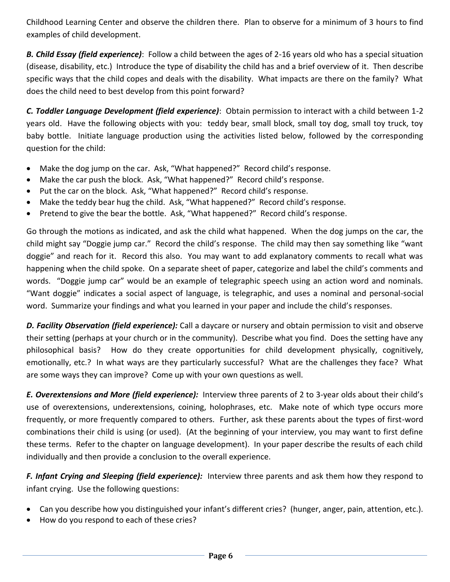Childhood Learning Center and observe the children there. Plan to observe for a minimum of 3 hours to find examples of child development.

*B. Child Essay (field experience)*: Follow a child between the ages of 2-16 years old who has a special situation (disease, disability, etc.) Introduce the type of disability the child has and a brief overview of it. Then describe specific ways that the child copes and deals with the disability. What impacts are there on the family? What does the child need to best develop from this point forward?

*C. Toddler Language Development (field experience)*: Obtain permission to interact with a child between 1-2 years old. Have the following objects with you: teddy bear, small block, small toy dog, small toy truck, toy baby bottle. Initiate language production using the activities listed below, followed by the corresponding question for the child:

- Make the dog jump on the car. Ask, "What happened?" Record child's response.
- Make the car push the block. Ask, "What happened?" Record child's response.
- Put the car on the block. Ask, "What happened?" Record child's response.
- Make the teddy bear hug the child. Ask, "What happened?" Record child's response.
- Pretend to give the bear the bottle. Ask, "What happened?" Record child's response.

Go through the motions as indicated, and ask the child what happened. When the dog jumps on the car, the child might say "Doggie jump car." Record the child's response. The child may then say something like "want doggie" and reach for it. Record this also. You may want to add explanatory comments to recall what was happening when the child spoke. On a separate sheet of paper, categorize and label the child's comments and words. "Doggie jump car" would be an example of telegraphic speech using an action word and nominals. "Want doggie" indicates a social aspect of language, is telegraphic, and uses a nominal and personal-social word. Summarize your findings and what you learned in your paper and include the child's responses.

*D. Facility Observation (field experience):* Call a daycare or nursery and obtain permission to visit and observe their setting (perhaps at your church or in the community). Describe what you find. Does the setting have any philosophical basis? How do they create opportunities for child development physically, cognitively, emotionally, etc.? In what ways are they particularly successful? What are the challenges they face? What are some ways they can improve? Come up with your own questions as well.

*E. Overextensions and More (field experience):* Interview three parents of 2 to 3-year olds about their child's use of overextensions, underextensions, coining, holophrases, etc. Make note of which type occurs more frequently, or more frequently compared to others. Further, ask these parents about the types of first-word combinations their child is using (or used). (At the beginning of your interview, you may want to first define these terms. Refer to the chapter on language development). In your paper describe the results of each child individually and then provide a conclusion to the overall experience.

*F. Infant Crying and Sleeping (field experience):* Interview three parents and ask them how they respond to infant crying. Use the following questions:

- Can you describe how you distinguished your infant's different cries? (hunger, anger, pain, attention, etc.).
- How do you respond to each of these cries?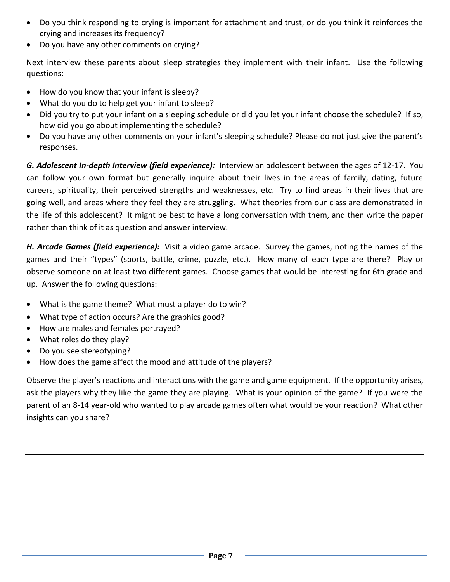- Do you think responding to crying is important for attachment and trust, or do you think it reinforces the crying and increases its frequency?
- Do you have any other comments on crying?

Next interview these parents about sleep strategies they implement with their infant. Use the following questions:

- How do you know that your infant is sleepy?
- What do you do to help get your infant to sleep?
- Did you try to put your infant on a sleeping schedule or did you let your infant choose the schedule? If so, how did you go about implementing the schedule?
- Do you have any other comments on your infant's sleeping schedule? Please do not just give the parent's responses.

*G. Adolescent In-depth Interview (field experience):* Interview an adolescent between the ages of 12-17. You can follow your own format but generally inquire about their lives in the areas of family, dating, future careers, spirituality, their perceived strengths and weaknesses, etc. Try to find areas in their lives that are going well, and areas where they feel they are struggling. What theories from our class are demonstrated in the life of this adolescent? It might be best to have a long conversation with them, and then write the paper rather than think of it as question and answer interview.

*H. Arcade Games (field experience):* Visit a video game arcade. Survey the games, noting the names of the games and their "types" (sports, battle, crime, puzzle, etc.). How many of each type are there? Play or observe someone on at least two different games. Choose games that would be interesting for 6th grade and up. Answer the following questions:

- What is the game theme? What must a player do to win?
- What type of action occurs? Are the graphics good?
- How are males and females portrayed?
- What roles do they play?
- Do you see stereotyping?
- How does the game affect the mood and attitude of the players?

Observe the player's reactions and interactions with the game and game equipment. If the opportunity arises, ask the players why they like the game they are playing. What is your opinion of the game? If you were the parent of an 8-14 year-old who wanted to play arcade games often what would be your reaction? What other insights can you share?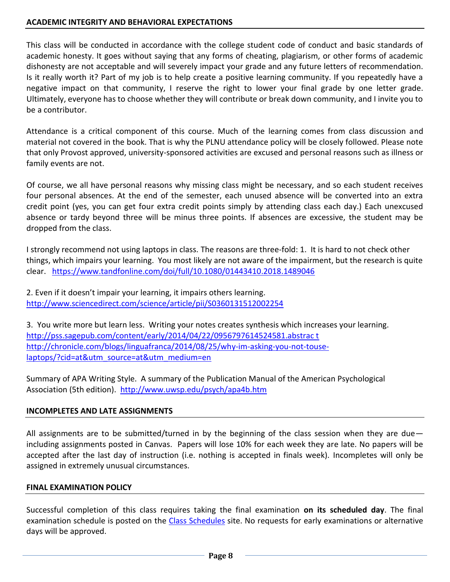## **ACADEMIC INTEGRITY AND BEHAVIORAL EXPECTATIONS**

This class will be conducted in accordance with the college student code of conduct and basic standards of academic honesty. It goes without saying that any forms of cheating, plagiarism, or other forms of academic dishonesty are not acceptable and will severely impact your grade and any future letters of recommendation. Is it really worth it? Part of my job is to help create a positive learning community. If you repeatedly have a negative impact on that community, I reserve the right to lower your final grade by one letter grade. Ultimately, everyone has to choose whether they will contribute or break down community, and I invite you to be a contributor.

Attendance is a critical component of this course. Much of the learning comes from class discussion and material not covered in the book. That is why the PLNU attendance policy will be closely followed. Please note that only Provost approved, university-sponsored activities are excused and personal reasons such as illness or family events are not.

Of course, we all have personal reasons why missing class might be necessary, and so each student receives four personal absences. At the end of the semester, each unused absence will be converted into an extra credit point (yes, you can get four extra credit points simply by attending class each day.) Each unexcused absence or tardy beyond three will be minus three points. If absences are excessive, the student may be dropped from the class.

I strongly recommend not using laptops in class. The reasons are three-fold: 1. It is hard to not check other things, which impairs your learning. You most likely are not aware of the impairment, but the research is quite clear. <https://www.tandfonline.com/doi/full/10.1080/01443410.2018.1489046>

2. Even if it doesn't impair your learning, it impairs others learning. <http://www.sciencedirect.com/science/article/pii/S0360131512002254>

3. You write more but learn less. Writing your notes creates synthesis which increases your learning. [http://pss.sagepub.com/content/early/2014/04/22/0956797614524581.abstrac t](http://pss.sagepub.com/content/early/2014/04/22/0956797614524581.abstrac%20t) [http://chronicle.com/blogs/linguafranca/2014/08/25/why-im-asking-you-not-touse](http://chronicle.com/blogs/linguafranca/2014/08/25/why-im-asking-you-not-touse-laptops/?cid=at&utm_source=at&utm_medium=en%20)[laptops/?cid=at&utm\\_source=at&utm\\_medium=en](http://chronicle.com/blogs/linguafranca/2014/08/25/why-im-asking-you-not-touse-laptops/?cid=at&utm_source=at&utm_medium=en%20)

Summary of APA Writing Style. A summary of the Publication Manual of the American Psychological Association (5th edition).<http://www.uwsp.edu/psych/apa4b.htm>

## **INCOMPLETES AND LATE ASSIGNMENTS**

All assignments are to be submitted/turned in by the beginning of the class session when they are due including assignments posted in Canvas. Papers will lose 10% for each week they are late. No papers will be accepted after the last day of instruction (i.e. nothing is accepted in finals week). Incompletes will only be assigned in extremely unusual circumstances.

## **FINAL EXAMINATION POLICY**

Successful completion of this class requires taking the final examination **on its scheduled day**. The final examination schedule is posted on the [Class Schedules](http://www.pointloma.edu/experience/academics/class-schedules) site. No requests for early examinations or alternative days will be approved.